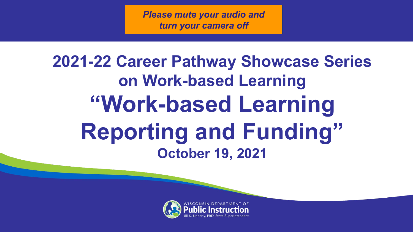*Please mute your audio and turn your camera off*

### **2021-22 Career Pathway Showcase Series on Work-based Learning "Work-based Learning Reporting and Funding" October 19, 2021**

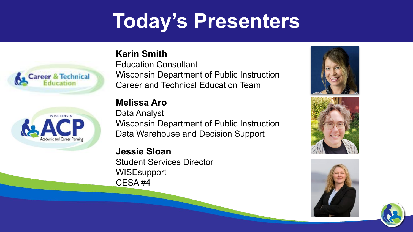### **Today's Presenters**





#### **Karin Smith**

Education Consultant Wisconsin Department of Public Instruction Career and Technical Education Team

#### **Melissa Aro**

Data Analyst Wisconsin Department of Public Instruction Data Warehouse and Decision Support

**Jessie Sloan** Student Services Director WISEsupport CESA #4





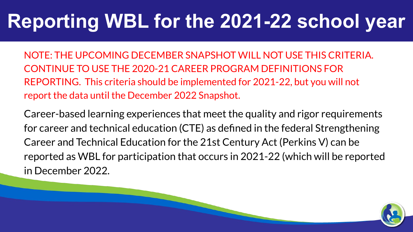### **Reporting WBL for the 2021-22 school year**

NOTE: THE UPCOMING DECEMBER SNAPSHOT WILL NOT USE THIS CRITERIA. CONTINUE TO USE THE 2020-21 CAREER PROGRAM DEFINITIONS FOR REPORTING. This criteria should be implemented for 2021-22, but you will not report the data until the December 2022 Snapshot.

Career-based learning experiences that meet the quality and rigor requirements for career and technical education (CTE) as defined in the federal Strengthening Career and Technical Education for the 21st Century Act (Perkins V) can be reported as WBL for participation that occurs in 2021-22 (which will be reported in December 2022.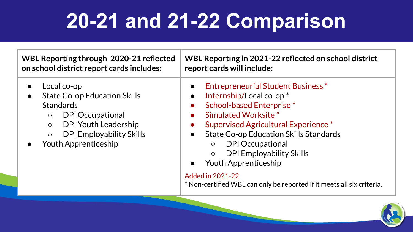# **20-21 and 21-22 Comparison**

| <b>WBL Reporting through 2020-21 reflected</b>                                                                                                                                                                                      | WBL Reporting in 2021-22 reflected on school district                                                                                                                                                                                                                                                                                                                                                                                                                      |
|-------------------------------------------------------------------------------------------------------------------------------------------------------------------------------------------------------------------------------------|----------------------------------------------------------------------------------------------------------------------------------------------------------------------------------------------------------------------------------------------------------------------------------------------------------------------------------------------------------------------------------------------------------------------------------------------------------------------------|
| on school district report cards includes:                                                                                                                                                                                           | report cards will include:                                                                                                                                                                                                                                                                                                                                                                                                                                                 |
| Local co-op<br><b>State Co-op Education Skills</b><br><b>Standards</b><br><b>DPI Occupational</b><br>$\circ$<br><b>DPI Youth Leadership</b><br>$\circ$<br><b>DPI Employability Skills</b><br>$\circ$<br><b>Youth Apprenticeship</b> | <b>Entrepreneurial Student Business*</b><br>Internship/Local co-op*<br>$\bullet$<br><b>School-based Enterprise*</b><br>Simulated Worksite*<br>Supervised Agricultural Experience*<br><b>State Co-op Education Skills Standards</b><br>$\bullet$<br><b>DPI Occupational</b><br>$\circ$<br><b>DPI Employability Skills</b><br>$\bigcirc$<br><b>Youth Apprenticeship</b><br><b>Added in 2021-22</b><br>* Non-certified WBL can only be reported if it meets all six criteria. |

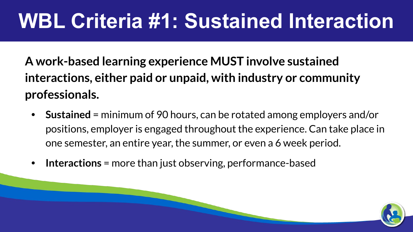### **WBL Criteria #1: Sustained Interaction**

**A work-based learning experience MUST involve sustained interactions, either paid or unpaid, with industry or community professionals.**

- **• Sustained** = minimum of 90 hours, can be rotated among employers and/or positions, employer is engaged throughout the experience. Can take place in one semester, an entire year, the summer, or even a 6 week period.
- **• Interactions** = more than just observing, performance-based

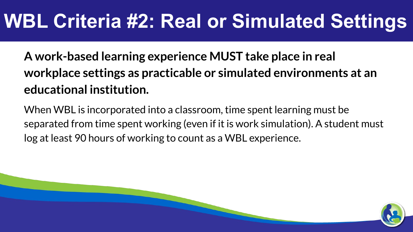### **WBL Criteria #2: Real or Simulated Settings**

**A work-based learning experience MUST take place in real workplace settings as practicable or simulated environments at an educational institution.**

When WBL is incorporated into a classroom, time spent learning must be separated from time spent working (even if it is work simulation). A student must log at least 90 hours of working to count as a WBL experience.

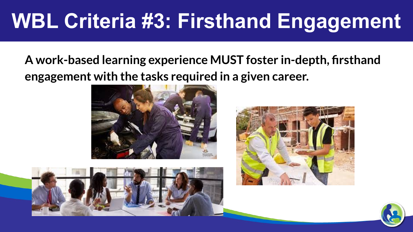# **WBL Criteria #3: Firsthand Engagement**

### **A work-based learning experience MUST foster in-depth, firsthand engagement with the tasks required in a given career.**







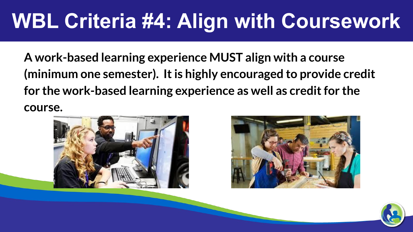### **WBL Criteria #4: Align with Coursework**

**A work-based learning experience MUST align with a course (minimum one semester). It is highly encouraged to provide credit for the work-based learning experience as well as credit for the course.**





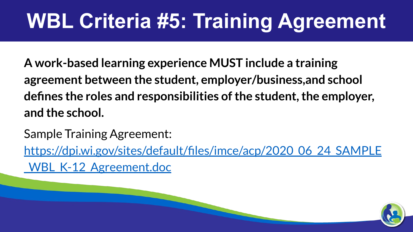# **WBL Criteria #5: Training Agreement**

**A work-based learning experience MUST include a training agreement between the student, employer/business,and school defines the roles and responsibilities of the student, the employer, and the school.**

Sample Training Agreement: [https://dpi.wi.gov/sites/default/files/imce/acp/2020\\_06\\_24\\_SAMPLE](https://dpi.wi.gov/sites/default/files/imce/acp/2020_06_24_SAMPLE_WBL_K-12_Agreement.doc) [\\_WBL\\_K-12\\_Agreement.doc](https://dpi.wi.gov/sites/default/files/imce/acp/2020_06_24_SAMPLE_WBL_K-12_Agreement.doc)

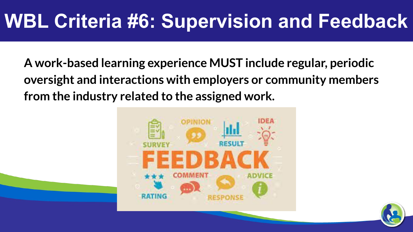### **WBL Criteria #6: Supervision and Feedback**

**A work-based learning experience MUST include regular, periodic oversight and interactions with employers or community members from the industry related to the assigned work.**



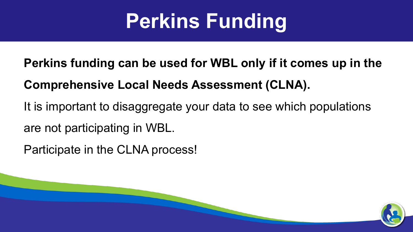# **Perkins Funding**

**Perkins funding can be used for WBL only if it comes up in the** 

### **Comprehensive Local Needs Assessment (CLNA).**

It is important to disaggregate your data to see which populations are not participating in WBL.

Participate in the CLNA process!

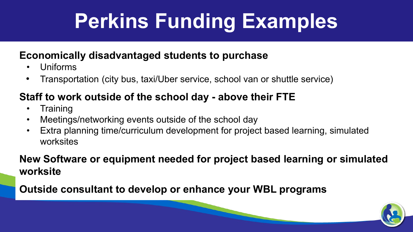# **Perkins Funding Examples**

#### **Economically disadvantaged students to purchase**

- Uniforms
- Transportation (city bus, taxi/Uber service, school van or shuttle service)

#### **Staff to work outside of the school day - above their FTE**

- Training
- Meetings/networking events outside of the school day
- Extra planning time/curriculum development for project based learning, simulated worksites

#### **New Software or equipment needed for project based learning or simulated worksite**

**Outside consultant to develop or enhance your WBL programs**

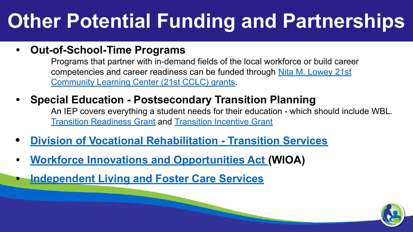## **Other Potential Funding and Partnerships**

#### **• Out-of-School-Time Programs**

Programs that partner with in-demand fields of the local workforce or build career competencies and career readiness can be funded through [Nita M. Lowey 21st](https://dpi.wi.gov/sspw/clc) [Community Learning Center \(21st CCLC\) grants.](https://dpi.wi.gov/sspw/clc)

#### **• Special Education - Postsecondary Transition Planning**

An IEP covers everything a student needs for their education - which should include WBL. [Transition Readiness Grant](https://www.google.com/url?q=https://dpi.wi.gov/sped/topics/transition/transition-readiness-grants&sa=D&source=editors&ust=1634052908484000&usg=AOvVaw0lxsLn20cxfMsHux89CAXH) and [Transition Incentive Grant](https://dpi.wi.gov/sped/about/state-performance-plan/indicators/14-post-high-school)

- **• [Division of Vocational Rehabilitation Transition Services](https://dwd.wisconsin.gov/dvr/job-seekers/transition/)**
- **• [Workforce Innovations and Opportunities Act \(](https://youth.workforcegps.org/resources/2017/08/29/08/48/FactSheet)WIOA)**
- **• [Independent Living and Foster Care Services](https://dcf.wisconsin.gov/independentliving)**

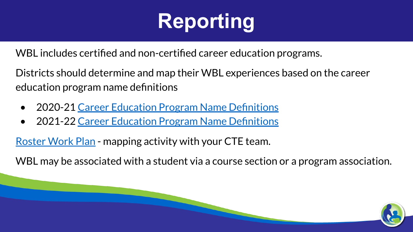# **Reporting**

WBL includes certified and non-certified career education programs.

Districts should determine and map their WBL experiences based on the career education program name definitions

- 2020-21 [Career Education Program Name Definitions](https://dpi.wi.gov/sites/default/files/imce/wisedata/Career_Education_Program_Definitions_19-20.pdf)
- 2021-22 [Career Education Program Name Definitions](https://dpi.wi.gov/sites/default/files/imce/cte/CPACTEERS/2021_10_Career_Education_Program_Definitions_21-22_NEW_UPDATES_1.pdf)

[Roster Work Plan](https://docs.google.com/document/d/1CUDVVweygGhbjqq6BOW585tK8CdGhQw39zsAiAqTBtM/edit?usp=sharing) - mapping activity with your CTE team.

WBL may be associated with a student via a course section or a program association.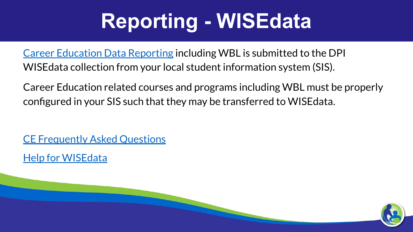## **Reporting - WISEdata**

[Career Education Data Reporting](https://dpi.wi.gov/sites/default/files/imce/wisedata/CTE_CCR_Data_Reporting_7-2021.pdf) including WBL is submitted to the DPI WISEdata collection from your local student information system (SIS).

Career Education related courses and programs including WBL must be properly configured in your SIS such that they may be transferred to WISEdata.

[CE Frequently Asked Questions](https://dpi.wi.gov/wisedata/help/career-education/career-education-faq)

[Help for WISEdata](https://dpi.wi.gov/wisedata/help)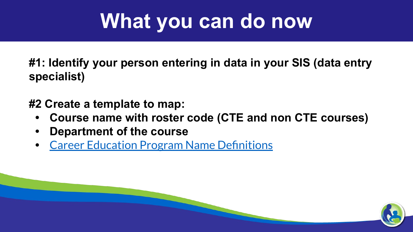### **What you can do now**

**#1: Identify your person entering in data in your SIS (data entry specialist)**

**#2 Create a template to map:** 

- **• Course name with roster code (CTE and non CTE courses)**
- **• Department of the course**
- **•** [Career Education Program Name Definitions](https://dpi.wi.gov/sites/default/files/imce/cte/CPACTEERS/2021_10_Career_Education_Program_Definitions_21-22_NEW_UPDATES_1.pdf)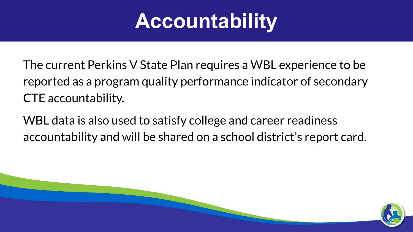### **Accountability**

The current Perkins V State Plan requires a WBL experience to be reported as a program quality performance indicator of secondary CTE accountability.

WBL data is also used to satisfy college and career readiness accountability and will be shared on a school district's report card.

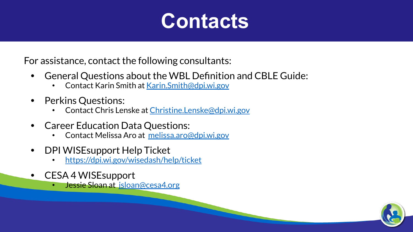### **Contacts**

For assistance, contact the following consultants:

- **•** General Questions about the WBL Definition and CBLE Guide:
	- Contact Karin Smith at [Karin.Smith@dpi.wi.gov](mailto:Karin.Smith@dpi.wi.gov)
- **•** Perkins Questions:
	- Contact Chris Lenske at [Christine.Lenske@dpi.wi.gov](mailto:Christine.Lenske@dpi.wi.gov)
- **•** Career Education Data Questions:
	- Contact Melissa Aro at [melissa.aro@dpi.wi.gov](mailto:melissa.aro@dpi.wi.gov)
- **•** DPI WISEsupport Help Ticket
	- <https://dpi.wi.gov/wisedash/help/ticket>
- **•** CESA 4 WISEsupport
	- Jessie Sloan at [jsloan@cesa4.org](mailto:jsloan@cesa4.org)

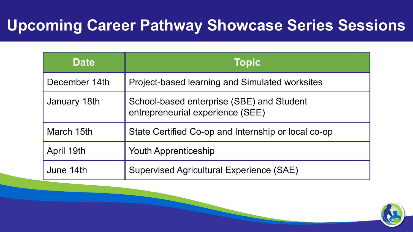### **Upcoming Career Pathway Showcase Series Sessions**

| <b>Date</b>   | <b>Topic</b>                                                                  |
|---------------|-------------------------------------------------------------------------------|
| December 14th | Project-based learning and Simulated worksites                                |
| January 18th  | School-based enterprise (SBE) and Student<br>entrepreneurial experience (SEE) |
| March 15th    | State Certified Co-op and Internship or local co-op                           |
| April 19th    | <b>Youth Apprenticeship</b>                                                   |
| June 14th     | <b>Supervised Agricultural Experience (SAE)</b>                               |